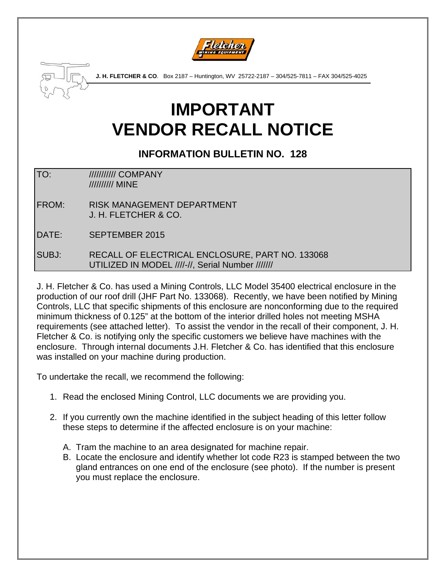



**J. H. FLETCHER & CO**. Box 2187 – Huntington, WV 25722-2187 – 304/525-7811 – FAX 304/525-4025

## **IMPORTANT VENDOR RECALL NOTICE**

## **INFORMATION BULLETIN NO. 128**

TO: /////////////// COMPANY ////////// MINE

- FROM: RISK MANAGEMENT DEPARTMENT J. H. FLETCHER & CO.
- DATE: SEPTEMBER 2015

SUBJ: RECALL OF ELECTRICAL ENCLOSURE, PART NO. 133068 UTILIZED IN MODEL ////-//, Serial Number ///////

J. H. Fletcher & Co. has used a Mining Controls, LLC Model 35400 electrical enclosure in the production of our roof drill (JHF Part No. 133068). Recently, we have been notified by Mining Controls, LLC that specific shipments of this enclosure are nonconforming due to the required minimum thickness of 0.125" at the bottom of the interior drilled holes not meeting MSHA requirements (see attached letter). To assist the vendor in the recall of their component, J. H. Fletcher & Co. is notifying only the specific customers we believe have machines with the enclosure. Through internal documents J.H. Fletcher & Co. has identified that this enclosure was installed on your machine during production.

To undertake the recall, we recommend the following:

- 1. Read the enclosed Mining Control, LLC documents we are providing you.
- 2. If you currently own the machine identified in the subject heading of this letter follow these steps to determine if the affected enclosure is on your machine:
	- A. Tram the machine to an area designated for machine repair.
	- B. Locate the enclosure and identify whether lot code R23 is stamped between the two gland entrances on one end of the enclosure (see photo). If the number is present you must replace the enclosure.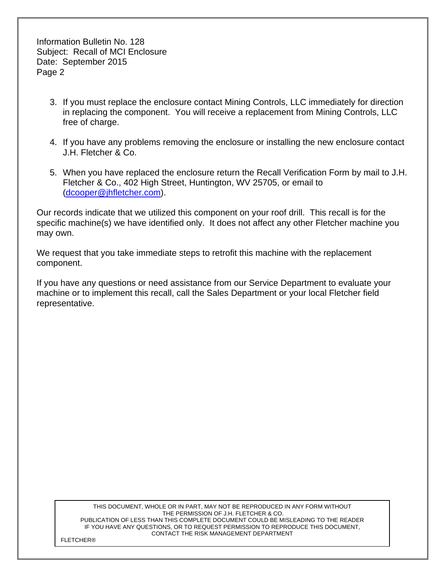Information Bulletin No. 128 Subject: Recall of MCI Enclosure Date: September 2015 Page 2

- 3. If you must replace the enclosure contact Mining Controls, LLC immediately for direction in replacing the component. You will receive a replacement from Mining Controls, LLC free of charge.
- 4. If you have any problems removing the enclosure or installing the new enclosure contact J.H. Fletcher & Co.
- 5. When you have replaced the enclosure return the Recall Verification Form by mail to J.H. Fletcher & Co., 402 High Street, Huntington, WV 25705, or email to (dcooper@jhfletcher.com).

Our records indicate that we utilized this component on your roof drill. This recall is for the specific machine(s) we have identified only. It does not affect any other Fletcher machine you may own.

We request that you take immediate steps to retrofit this machine with the replacement component.

If you have any questions or need assistance from our Service Department to evaluate your machine or to implement this recall, call the Sales Department or your local Fletcher field representative.

> THIS DOCUMENT, WHOLE OR IN PART, MAY NOT BE REPRODUCED IN ANY FORM WITHOUT THE PERMISSION OF J.H. FLETCHER & CO. PUBLICATION OF LESS THAN THIS COMPLETE DOCUMENT COULD BE MISLEADING TO THE READER IF YOU HAVE ANY QUESTIONS, OR TO REQUEST PERMISSION TO REPRODUCE THIS DOCUMENT, CONTACT THE RISK MANAGEMENT DEPARTMENT

FLETCHER®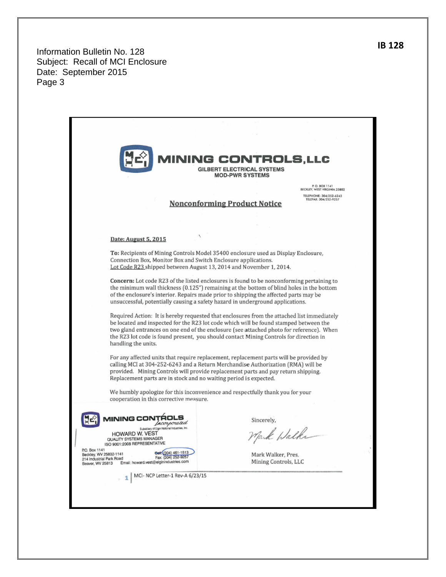Information Bulletin No. 128 Subject: Recall of MCI Enclosure Date: September 2015 Page 3

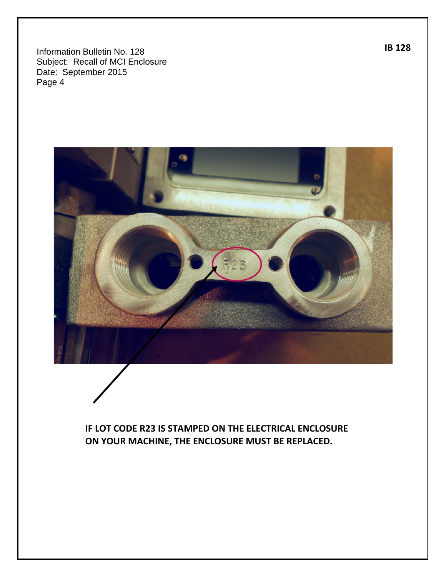Information Bulletin No. 128 Subject: Recall of MCI Enclosure Date: September 2015 Page 4



**IF LOT CODE R23 IS STAMPED ON THE ELECTRICAL ENCLOSURE ON YOUR MACHINE, THE ENCLOSURE MUST BE REPLACED.**